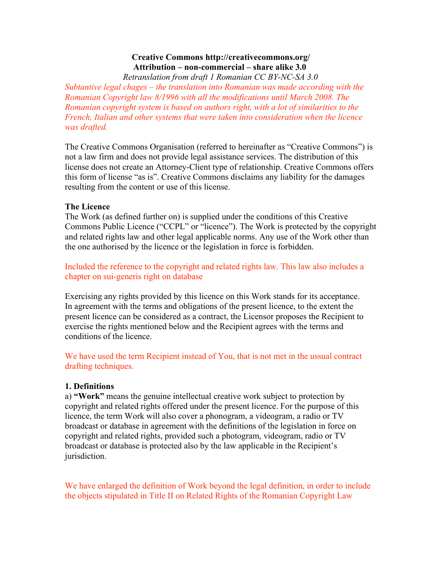# **Creative Commons http://creativecommons.org/** Attribution – non-commercial – share alike 3.0

Retranslation from draft 1 Romanian CC BY-NC-SA 3.0

Subtantive legal chages – the translation into Romanian was made according with the Romanian Copyright law 8/1996 with all the modifications until March 2008. The Romanian copyright system is based on authors right, with a lot of similarities to the French, Italian and other systems that were taken into consideration when the licence was drafted.

The Creative Commons Organisation (referred to hereinafter as "Creative Commons") is not a law firm and does not provide legal assistance services. The distribution of this license does not create an Attorney-Client type of relationship. Creative Commons offers this form of license "as is". Creative Commons disclaims any liability for the damages resulting from the content or use of this license.

## **The Licence**

The Work (as defined further on) is supplied under the conditions of this Creative Commons Public Licence ("CCPL" or "licence"). The Work is protected by the copyright and related rights law and other legal applicable norms. Any use of the Work other than the one authorised by the licence or the legislation in force is forbidden.

Included the reference to the copyright and related rights law. This law also includes a chapter on sui-generis right on database

Exercising any rights provided by this licence on this Work stands for its acceptance. In agreement with the terms and obligations of the present licence, to the extent the present licence can be considered as a contract, the Licensor proposes the Recipient to exercise the rights mentioned below and the Recipient agrees with the terms and conditions of the licence

We have used the term Recipient instead of You, that is not met in the ussual contract drafting techniques.

## 1. Definitions

a) "Work" means the genuine intellectual creative work subject to protection by copyright and related rights offered under the present licence. For the purpose of this licence, the term Work will also cover a phonogram, a videogram, a radio or TV broadcast or database in agreement with the definitions of the legislation in force on copyright and related rights, provided such a photogram, videogram, radio or TV broadcast or database is protected also by the law applicable in the Recipient's jurisdiction.

We have enlarged the definition of Work beyond the legal definition, in order to include the objects stipulated in Title II on Related Rights of the Romanian Copyright Law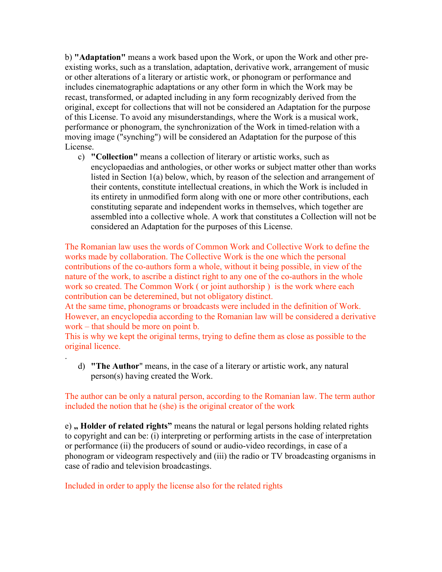b) "Adaptation" means a work based upon the Work, or upon the Work and other preexisting works, such as a translation, adaptation, derivative work, arrangement of music or other alterations of a literary or artistic work, or phonogram or performance and includes cinematographic adaptations or any other form in which the Work may be recast, transformed, or adapted including in any form recognizably derived from the original, except for collections that will not be considered an Adaptation for the purpose of this License. To avoid any misunderstandings, where the Work is a musical work, performance or phonogram, the synchronization of the Work in timed-relation with a moving image ("synching") will be considered an Adaptation for the purpose of this License.

c) "Collection" means a collection of literary or artistic works, such as encyclopaedias and anthologies, or other works or subject matter other than works listed in Section 1(a) below, which, by reason of the selection and arrangement of their contents, constitute intellectual creations, in which the Work is included in its entirety in unmodified form along with one or more other contributions, each constituting separate and independent works in themselves, which together are assembled into a collective whole. A work that constitutes a Collection will not be considered an Adaptation for the purposes of this License.

The Romanian law uses the words of Common Work and Collective Work to define the works made by collaboration. The Collective Work is the one which the personal contributions of the co-authors form a whole, without it being possible, in view of the nature of the work, to ascribe a distinct right to any one of the co-authors in the whole work so created. The Common Work (or joint authorship) is the work where each contribution can be deteremined, but not obligatory distinct.

At the same time, phonograms or broadcasts were included in the definition of Work. However, an encyclopedia according to the Romanian law will be considered a derivative work – that should be more on point b.

This is why we kept the original terms, trying to define them as close as possible to the original licence.

d) "The Author" means, in the case of a literary or artistic work, any natural person(s) having created the Work.

The author can be only a natural person, according to the Romanian law. The term author included the notion that he (she) is the original creator of the work

e), **Holder of related rights**" means the natural or legal persons holding related rights to copyright and can be: (i) interpreting or performing artists in the case of interpretation or performance (ii) the producers of sound or audio-video recordings, in case of a phonogram or videogram respectively and (iii) the radio or TV broadcasting organisms in case of radio and television broadcastings.

Included in order to apply the license also for the related rights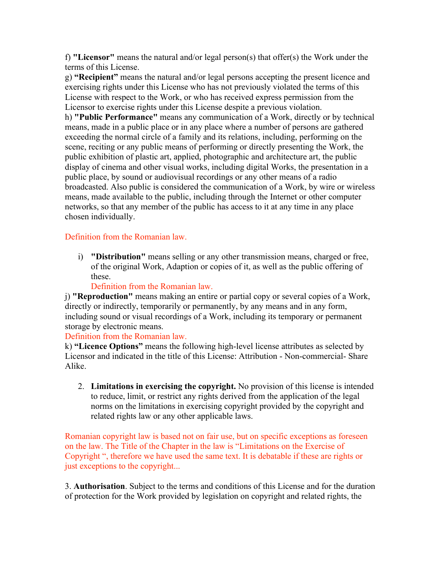f) "Licensor" means the natural and/or legal person(s) that offer(s) the Work under the terms of this License.

g) "Recipient" means the natural and/or legal persons accepting the present licence and exercising rights under this License who has not previously violated the terms of this License with respect to the Work, or who has received express permission from the Licensor to exercise rights under this License despite a previous violation.

h) "Public Performance" means any communication of a Work, directly or by technical means, made in a public place or in any place where a number of persons are gathered exceeding the normal circle of a family and its relations, including, performing on the scene, reciting or any public means of performing or directly presenting the Work, the public exhibition of plastic art, applied, photographic and architecture art, the public display of cinema and other visual works, including digital Works, the presentation in a public place, by sound or audiovisual recordings or any other means of a radio broadcasted. Also public is considered the communication of a Work, by wire or wireless means, made available to the public, including through the Internet or other computer networks, so that any member of the public has access to it at any time in any place chosen individually.

## Definition from the Romanian law.

i) "Distribution" means selling or any other transmission means, charged or free, of the original Work, Adaption or copies of it, as well as the public offering of these.

#### Definition from the Romanian law.

j) "Reproduction" means making an entire or partial copy or several copies of a Work, directly or indirectly, temporarily or permanently, by any means and in any form, including sound or visual recordings of a Work, including its temporary or permanent storage by electronic means.

### Definition from the Romanian law.

k) "Licence Options" means the following high-level license attributes as selected by Licensor and indicated in the title of this License: Attribution - Non-commercial- Share Alike.

2. Limitations in exercising the copyright. No provision of this license is intended to reduce, limit, or restrict any rights derived from the application of the legal norms on the limitations in exercising copyright provided by the copyright and related rights law or any other applicable laws.

Romanian copyright law is based not on fair use, but on specific exceptions as foreseen on the law. The Title of the Chapter in the law is "Limitations on the Exercise of Copyright", therefore we have used the same text. It is debatable if these are rights or just exceptions to the copyright...

3. Authorisation. Subject to the terms and conditions of this License and for the duration of protection for the Work provided by legislation on copyright and related rights, the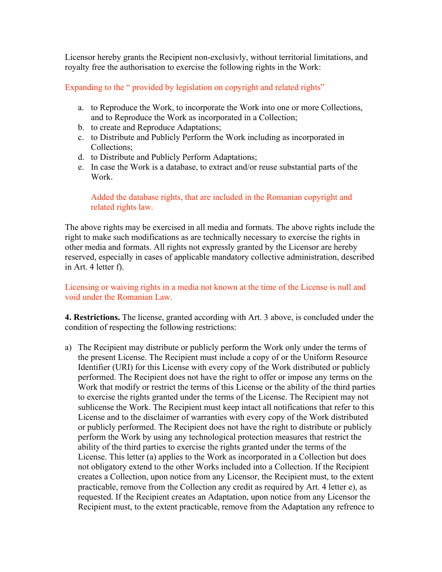Licensor hereby grants the Recipient non-exclusivly, without territorial limitations, and royalty free the authorisation to exercise the following rights in the Work:

Expanding to the "provided by legislation on copyright and related rights"

- a. to Reproduce the Work, to incorporate the Work into one or more Collections, and to Reproduce the Work as incorporated in a Collection;
- b. to create and Reproduce Adaptations;
- c. to Distribute and Publicly Perform the Work including as incorporated in Collections:
- d. to Distribute and Publicly Perform Adaptations;
- e. In case the Work is a database, to extract and/or reuse substantial parts of the Work

Added the database rights, that are included in the Romanian copyright and related rights law.

The above rights may be exercised in all media and formats. The above rights include the right to make such modifications as are technically necessary to exercise the rights in other media and formats. All rights not expressly granted by the Licensor are hereby reserved, especially in cases of applicable mandatory collective administration, described in Art. 4 letter f).

Licensing or waiving rights in a media not known at the time of the License is null and void under the Romanian Law.

4. Restrictions. The license, granted according with Art. 3 above, is concluded under the condition of respecting the following restrictions:

a) The Recipient may distribute or publicly perform the Work only under the terms of the present License. The Recipient must include a copy of or the Uniform Resource Identifier (URI) for this License with every copy of the Work distributed or publicly performed. The Recipient does not have the right to offer or impose any terms on the Work that modify or restrict the terms of this License or the ability of the third parties to exercise the rights granted under the terms of the License. The Recipient may not sublicense the Work. The Recipient must keep intact all notifications that refer to this License and to the disclaimer of warranties with every copy of the Work distributed or publicly performed. The Recipient does not have the right to distribute or publicly perform the Work by using any technological protection measures that restrict the ability of the third parties to exercise the rights granted under the terms of the License. This letter (a) applies to the Work as incorporated in a Collection but does not obligatory extend to the other Works included into a Collection. If the Recipient creates a Collection, upon notice from any Licensor, the Recipient must, to the extent practicable, remove from the Collection any credit as required by Art. 4 letter e), as requested. If the Recipient creates an Adaptation, upon notice from any Licensor the Recipient must, to the extent practicable, remove from the Adaptation any refrence to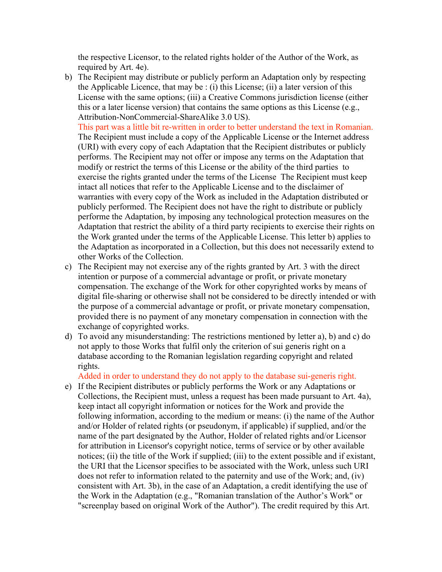the respective Licensor, to the related rights holder of the Author of the Work, as required by Art. 4e).

b) The Recipient may distribute or publicly perform an Adaptation only by respecting the Applicable Licence, that may be  $: (i)$  this License; (ii) a later version of this License with the same options; (iii) a Creative Commons jurisdiction license (either this or a later license version) that contains the same options as this License (e.g., Attribution-NonCommercial-ShareAlike 3.0 US).

This part was a little bit re-written in order to better understand the text in Romanian. The Recipient must include a copy of the Applicable License or the Internet address (URI) with every copy of each Adaptation that the Recipient distributes or publicly performs. The Recipient may not offer or impose any terms on the Adaptation that modify or restrict the terms of this License or the ability of the third parties to exercise the rights granted under the terms of the License The Recipient must keep intact all notices that refer to the Applicable License and to the disclaimer of warranties with every copy of the Work as included in the Adaptation distributed or publicly performed. The Recipient does not have the right to distribute or publicly performe the Adaptation, by imposing any technological protection measures on the Adaptation that restrict the ability of a third party recipients to exercise their rights on the Work granted under the terms of the Applicable License. This letter b) applies to the Adaptation as incorporated in a Collection, but this does not necessarily extend to other Works of the Collection.

- c) The Recipient may not exercise any of the rights granted by Art. 3 with the direct intention or purpose of a commercial advantage or profit, or private monetary compensation. The exchange of the Work for other copyrighted works by means of digital file-sharing or otherwise shall not be considered to be directly intended or with the purpose of a commercial advantage or profit, or private monetary compensation, provided there is no payment of any monetary compensation in connection with the exchange of copyrighted works.
- d) To avoid any misunderstanding: The restrictions mentioned by letter a), b) and c) do not apply to those Works that fulfil only the criterion of sui generis right on a database according to the Romanian legislation regarding copyright and related rights.

Added in order to understand they do not apply to the database sui-generis right.

e) If the Recipient distributes or publicly performs the Work or any Adaptations or Collections, the Recipient must, unless a request has been made pursuant to Art. 4a), keep intact all copyright information or notices for the Work and provide the following information, according to the medium or means: (i) the name of the Author and/or Holder of related rights (or pseudonym, if applicable) if supplied, and/or the name of the part designated by the Author, Holder of related rights and/or Licensor for attribution in Licensor's copyright notice, terms of service or by other available notices; (ii) the title of the Work if supplied; (iii) to the extent possible and if existant, the URI that the Licensor specifies to be associated with the Work, unless such URI does not refer to information related to the paternity and use of the Work; and, (iv) consistent with Art. 3b), in the case of an Adaptation, a credit identifying the use of the Work in the Adaptation (e.g., "Romanian translation of the Author's Work" or "screenplay based on original Work of the Author"). The credit required by this Art.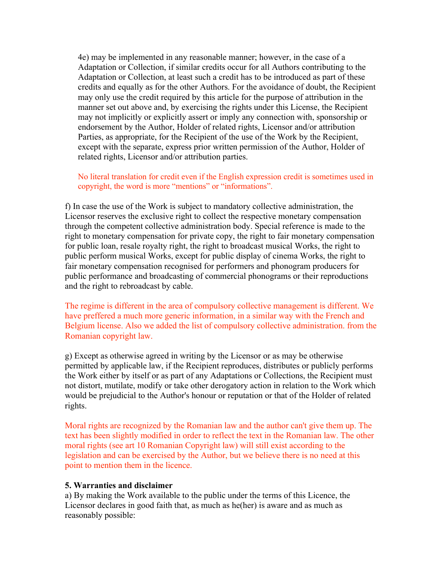4e) may be implemented in any reasonable manner; however, in the case of a Adaptation or Collection, if similar credits occur for all Authors contributing to the Adaptation or Collection, at least such a credit has to be introduced as part of these credits and equally as for the other Authors. For the avoidance of doubt, the Recipient may only use the credit required by this article for the purpose of attribution in the manner set out above and, by exercising the rights under this License, the Recipient may not implicitly or explicitly assert or imply any connection with, sponsorship or endorsement by the Author, Holder of related rights, Licensor and/or attribution Parties, as appropriate, for the Recipient of the use of the Work by the Recipient, except with the separate, express prior written permission of the Author, Holder of related rights, Licensor and/or attribution parties.

No literal translation for credit even if the English expression credit is sometimes used in copyright, the word is more "mentions" or "informations".

f) In case the use of the Work is subject to mandatory collective administration, the Licensor reserves the exclusive right to collect the respective monetary compensation through the competent collective administration body. Special reference is made to the right to monetary compensation for private copy, the right to fair monetary compensation for public loan, resale royalty right, the right to broadcast musical Works, the right to public perform musical Works, except for public display of cinema Works, the right to fair monetary compensation recognised for performers and phonogram producers for public performance and broadcasting of commercial phonograms or their reproductions and the right to rebroadcast by cable.

The regime is different in the area of compulsory collective management is different. We have preffered a much more generic information, in a similar way with the French and Belgium license. Also we added the list of compulsory collective administration, from the Romanian copyright law.

g) Except as otherwise agreed in writing by the Licensor or as may be otherwise permitted by applicable law, if the Recipient reproduces, distributes or publicly performs the Work either by itself or as part of any Adaptations or Collections, the Recipient must not distort, mutilate, modify or take other derogatory action in relation to the Work which would be prejudicial to the Author's honour or reputation or that of the Holder of related rights.

Moral rights are recognized by the Romanian law and the author can't give them up. The text has been slightly modified in order to reflect the text in the Romanian law. The other moral rights (see art 10 Romanian Copyright law) will still exist according to the legislation and can be exercised by the Author, but we believe there is no need at this point to mention them in the licence.

#### 5. Warranties and disclaimer

a) By making the Work available to the public under the terms of this Licence, the Licensor declares in good faith that, as much as he(her) is aware and as much as reasonably possible: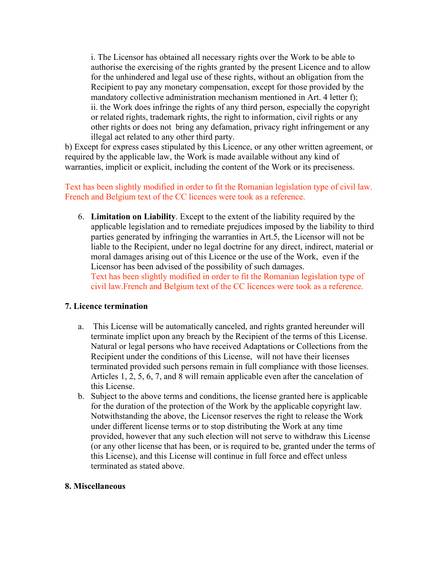i. The Licensor has obtained all necessary rights over the Work to be able to authorise the exercising of the rights granted by the present Licence and to allow for the unhindered and legal use of these rights, without an obligation from the Recipient to pay any monetary compensation, except for those provided by the mandatory collective administration mechanism mentioned in Art. 4 letter f); ii. the Work does infringe the rights of any third person, especially the copyright or related rights, trademark rights, the right to information, civil rights or any other rights or does not bring any defamation, privacy right infringement or any illegal act related to any other third party.

b) Except for express cases stipulated by this Licence, or any other written agreement, or required by the applicable law, the Work is made available without any kind of warranties, implicit or explicit, including the content of the Work or its preciseness.

Text has been slightly modified in order to fit the Romanian legislation type of civil law. French and Belgium text of the CC licences were took as a reference.

6. Limitation on Liability. Except to the extent of the liability required by the applicable legislation and to remediate prejudices imposed by the liability to third parties generated by infringing the warranties in Art.5, the Licensor will not be liable to the Recipient, under no legal doctrine for any direct, indirect, material or moral damages arising out of this Licence or the use of the Work, even if the Licensor has been advised of the possibility of such damages. Text has been slightly modified in order to fit the Romanian legislation type of civil law. French and Belgium text of the CC licences were took as a reference.

### 7. Licence termination

- This License will be automatically canceled, and rights granted hereunder will  $a<sub>1</sub>$ terminate implict upon any breach by the Recipient of the terms of this License. Natural or legal persons who have received Adaptations or Collections from the Recipient under the conditions of this License, will not have their licenses terminated provided such persons remain in full compliance with those licenses. Articles  $1, 2, 5, 6, 7$ , and 8 will remain applicable even after the cancelation of this License.
- b. Subject to the above terms and conditions, the license granted here is applicable for the duration of the protection of the Work by the applicable copyright law. Notwithstanding the above, the Licensor reserves the right to release the Work under different license terms or to stop distributing the Work at any time provided, however that any such election will not serve to withdraw this License (or any other license that has been, or is required to be, granted under the terms of this License), and this License will continue in full force and effect unless terminated as stated above.

### 8. Miscellaneous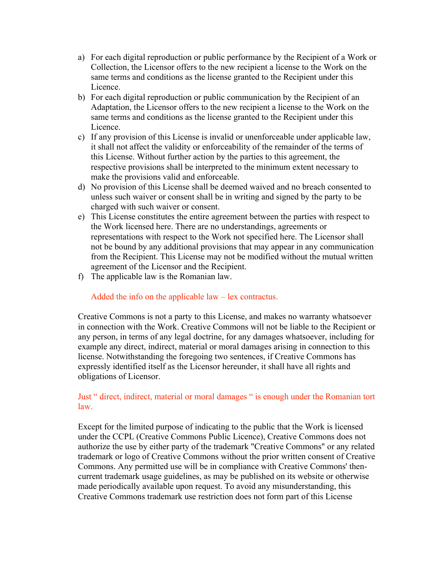- a) For each digital reproduction or public performance by the Recipient of a Work or Collection, the Licensor offers to the new recipient a license to the Work on the same terms and conditions as the license granted to the Recipient under this Licence.
- b) For each digital reproduction or public communication by the Recipient of an Adaptation, the Licensor offers to the new recipient a license to the Work on the same terms and conditions as the license granted to the Recipient under this Licence.
- c) If any provision of this License is invalid or unenforceable under applicable law, it shall not affect the validity or enforceability of the remainder of the terms of this License. Without further action by the parties to this agreement, the respective provisions shall be interpreted to the minimum extent necessary to make the provisions valid and enforceable.
- d) No provision of this License shall be deemed waived and no breach consented to unless such waiver or consent shall be in writing and signed by the party to be charged with such waiver or consent.
- e) This License constitutes the entire agreement between the parties with respect to the Work licensed here. There are no understandings, agreements or representations with respect to the Work not specified here. The Licensor shall not be bound by any additional provisions that may appear in any communication from the Recipient. This License may not be modified without the mutual written agreement of the Licensor and the Recipient.
- f) The applicable law is the Romanian law.

Added the info on the applicable  $law$  – lex contractus.

Creative Commons is not a party to this License, and makes no warranty whatsoever in connection with the Work. Creative Commons will not be liable to the Recipient or any person, in terms of any legal doctrine, for any damages whatsoever, including for example any direct, indirect, material or moral damages arising in connection to this license. Notwithstanding the foregoing two sentences, if Creative Commons has expressly identified itself as the Licensor hereunder, it shall have all rights and obligations of Licensor.

Just " direct, indirect, material or moral damages " is enough under the Romanian tort  $law<sub>1</sub>$ 

Except for the limited purpose of indicating to the public that the Work is licensed under the CCPL (Creative Commons Public Licence), Creative Commons does not authorize the use by either party of the trademark "Creative Commons" or any related trademark or logo of Creative Commons without the prior written consent of Creative Commons. Any permitted use will be in compliance with Creative Commons' thencurrent trademark usage guidelines, as may be published on its website or otherwise made periodically available upon request. To avoid any misunderstanding, this Creative Commons trademark use restriction does not form part of this License